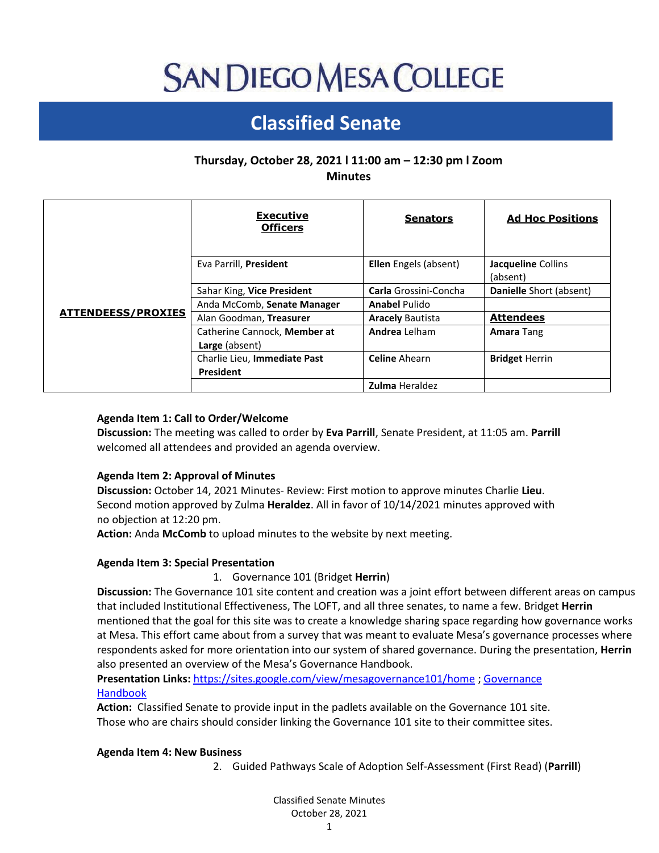# **SAN DIEGO MESA COLLEGE**

# **Classified Senate**

# **Thursday, October 28, 2021 l 11:00 am – 12:30 pm l Zoom Minutes**

|                           | <b>Executive</b><br><b>Officers</b>            | <b>Senators</b>              | <b>Ad Hoc Positions</b>        |
|---------------------------|------------------------------------------------|------------------------------|--------------------------------|
| <b>ATTENDEESS/PROXIES</b> | Eva Parrill, President                         | <b>Ellen</b> Engels (absent) | Jacqueline Collins<br>(absent) |
|                           | Sahar King, Vice President                     | Carla Grossini-Concha        | Danielle Short (absent)        |
|                           | Anda McComb, Senate Manager                    | <b>Anabel Pulido</b>         |                                |
|                           | Alan Goodman, Treasurer                        | <b>Aracely Bautista</b>      | <b>Attendees</b>               |
|                           | Catherine Cannock, Member at<br>Large (absent) | <b>Andrea</b> Lelham         | <b>Amara Tang</b>              |
|                           | Charlie Lieu, Immediate Past                   | <b>Celine</b> Ahearn         | <b>Bridget Herrin</b>          |
|                           | President                                      | <b>Zulma Heraldez</b>        |                                |
|                           |                                                |                              |                                |

# **Agenda Item 1: Call to Order/Welcome**

**Discussion:** The meeting was called to order by **Eva Parrill**, Senate President, at 11:05 am. **Parrill** welcomed all attendees and provided an agenda overview.

# **Agenda Item 2: Approval of Minutes**

**Discussion:** October 14, 2021 Minutes- Review: First motion to approve minutes Charlie **Lieu**. Second motion approved by Zulma **Heraldez**. All in favor of 10/14/2021 minutes approved with no objection at 12:20 pm.

**Action:** Anda **McComb** to upload minutes to the website by next meeting.

# **Agenda Item 3: Special Presentation**

1. Governance 101 (Bridget **Herrin**)

**Discussion:** The Governance 101 site content and creation was a joint effort between different areas on campus that included Institutional Effectiveness, The LOFT, and all three senates, to name a few. Bridget **Herrin** mentioned that the goal for this site was to create a knowledge sharing space regarding how governance works at Mesa. This effort came about from a survey that was meant to evaluate Mesa's governance processes where respondents asked for more orientation into our system of shared governance. During the presentation, **Herrin** also presented an overview of the Mesa's Governance Handbook.

# **Presentation Links:** <https://sites.google.com/view/mesagovernance101/home> [; Governance](https://www.sdmesa.edu/about-mesa/institutional-effectiveness/Governance%20Handbook_Final%208-31-21.pdf)  [Handbook](https://www.sdmesa.edu/about-mesa/institutional-effectiveness/Governance%20Handbook_Final%208-31-21.pdf)

**Action:** Classified Senate to provide input in the padlets available on the Governance 101 site. Those who are chairs should consider linking the Governance 101 site to their committee sites.

# **Agenda Item 4: New Business**

2. Guided Pathways Scale of Adoption Self-Assessment (First Read) (**Parrill**)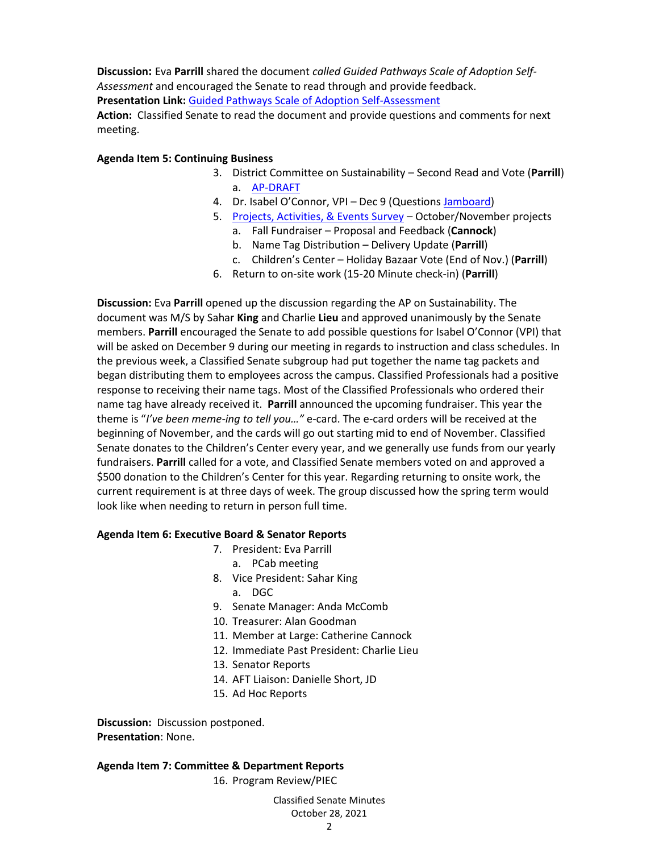**Discussion:** Eva **Parrill** shared the document *called Guided Pathways Scale of Adoption Self-Assessment* and encouraged the Senate to read through and provide feedback. **Presentation Link:** [Guided Pathways Scale of Adoption Self-Assessment](https://drive.google.com/file/d/17DpxVYOBIdMGmGmNGKqP5TbP1AQu5Xbs/view)

**Action:** Classified Senate to read the document and provide questions and comments for next meeting.

#### **Agenda Item 5: Continuing Business**

- 3. District Committee on Sustainability Second Read and Vote (**Parrill**) a. [AP-DRAFT](https://docs.google.com/document/d/1OGRxR1vzR6roQwGtw1joGHhgIX8j4uHpcCzwigA7j0I/edit?usp=sharing)
- 4. Dr. Isabel O'Connor, VPI Dec 9 (Questions [Jamboard\)](https://jamboard.google.com/d/14YY5F9tlXuhAb21p_ToUop3kmbYMtyCkcm9IuLpAyOU/viewer)
- 5. [Projects, Activities, & Events Survey](https://docs.google.com/forms/d/e/1FAIpQLScWCSltDz9g2SQhCU0k-dKXkdcI-5AgniHQGx44VeSB_e4y9A/viewform) October/November projects
	- a. Fall Fundraiser Proposal and Feedback (**Cannock**)
	- b. Name Tag Distribution Delivery Update (**Parrill**)
	- c. Children's Center Holiday Bazaar Vote (End of Nov.) (**Parrill**)
- 6. Return to on-site work (15-20 Minute check-in) (**Parrill**)

**Discussion:** Eva **Parrill** opened up the discussion regarding the AP on Sustainability. The document was M/S by Sahar **King** and Charlie **Lieu** and approved unanimously by the Senate members. **Parrill** encouraged the Senate to add possible questions for Isabel O'Connor (VPI) that will be asked on December 9 during our meeting in regards to instruction and class schedules. In the previous week, a Classified Senate subgroup had put together the name tag packets and began distributing them to employees across the campus. Classified Professionals had a positive response to receiving their name tags. Most of the Classified Professionals who ordered their name tag have already received it. **Parrill** announced the upcoming fundraiser. This year the theme is "*I've been meme-ing to tell you…"* e-card. The e-card orders will be received at the beginning of November, and the cards will go out starting mid to end of November. Classified Senate donates to the Children's Center every year, and we generally use funds from our yearly fundraisers. **Parrill** called for a vote, and Classified Senate members voted on and approved a \$500 donation to the Children's Center for this year. Regarding returning to onsite work, the current requirement is at three days of week. The group discussed how the spring term would look like when needing to return in person full time.

#### **Agenda Item 6: Executive Board & Senator Reports**

- 7. President: Eva Parrill
	- a. PCab meeting
- 8. Vice President: Sahar King
	- a. DGC
- 9. Senate Manager: Anda McComb
- 10. Treasurer: Alan Goodman
- 11. Member at Large: Catherine Cannock
- 12. Immediate Past President: Charlie Lieu
- 13. Senator Reports
- 14. AFT Liaison: Danielle Short, JD
- 15. Ad Hoc Reports

**Discussion:** Discussion postponed. **Presentation**: None.

# **Agenda Item 7: Committee & Department Reports**

16. Program Review/PIEC

Classified Senate Minutes October 28, 2021